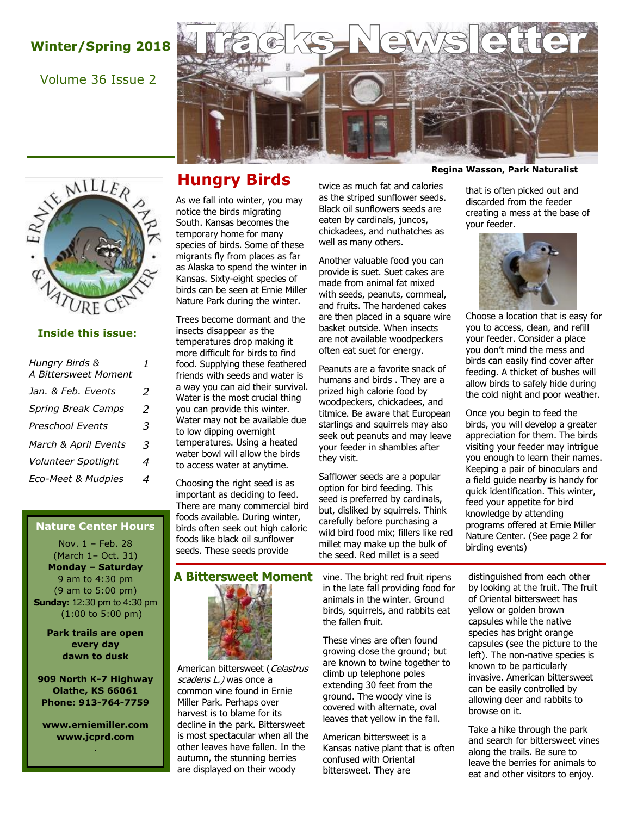# **Winter/Spring 2018**

### Volume 36 Issue 2





### **Inside this issue:**

| Hungry Birds &<br>A Bittersweet Moment | 1 |
|----------------------------------------|---|
| Jan. & Feb. Events                     | 2 |
| <b>Spring Break Camps</b>              | 2 |
| <b>Preschool Events</b>                | 3 |
| March & April Events                   | 3 |
| Volunteer Spotlight                    | 4 |
| Eco-Meet & Mudpies                     | 4 |

### **Nature Center Hours**

Nov. 1 – Feb. 28 (March 1– Oct. 31) **Monday – Saturday**  9 am to 4:30 pm (9 am to 5:00 pm) **Sunday:** 12:30 pm to 4:30 pm (1:00 to 5:00 pm)

> **Park trails are open every day dawn to dusk**

**909 North K-7 Highway Olathe, KS 66061 Phone: 913-764-7759**

**www.erniemiller.com www.jcprd.com** .

## **Hungry Birds**

As we fall into winter, you may notice the birds migrating South. Kansas becomes the temporary home for many species of birds. Some of these migrants fly from places as far as Alaska to spend the winter in Kansas. Sixty-eight species of birds can be seen at Ernie Miller Nature Park during the winter.

Trees become dormant and the insects disappear as the temperatures drop making it more difficult for birds to find food. Supplying these feathered friends with seeds and water is a way you can aid their survival. Water is the most crucial thing you can provide this winter. Water may not be available due to low dipping overnight temperatures. Using a heated water bowl will allow the birds to access water at anytime.

Choosing the right seed is as important as deciding to feed. There are many commercial bird foods available. During winter, birds often seek out high caloric foods like black oil sunflower seeds. These seeds provide

twice as much fat and calories as the striped sunflower seeds. Black oil sunflowers seeds are eaten by cardinals, juncos, chickadees, and nuthatches as well as many others.

Another valuable food you can provide is suet. Suet cakes are made from animal fat mixed with seeds, peanuts, cornmeal, and fruits. The hardened cakes are then placed in a square wire basket outside. When insects are not available woodpeckers often eat suet for energy.

Peanuts are a favorite snack of humans and birds . They are a prized high calorie food by woodpeckers, chickadees, and titmice. Be aware that European starlings and squirrels may also seek out peanuts and may leave your feeder in shambles after they visit.

Safflower seeds are a popular option for bird feeding. This seed is preferred by cardinals, but, disliked by squirrels. Think carefully before purchasing a wild bird food mix; fillers like red millet may make up the bulk of the seed. Red millet is a seed

that is often picked out and

discarded from the feeder creating a mess at the base of your feeder.



Choose a location that is easy for you to access, clean, and refill your feeder. Consider a place you don't mind the mess and birds can easily find cover after feeding. A thicket of bushes will allow birds to safely hide during the cold night and poor weather.

Once you begin to feed the birds, you will develop a greater appreciation for them. The birds visiting your feeder may intrigue you enough to learn their names. Keeping a pair of binoculars and a field guide nearby is handy for quick identification. This winter, feed your appetite for bird knowledge by attending programs offered at Ernie Miller Nature Center. (See page 2 for birding events)

**A Bittersweet Moment** vine. The bright red fruit ripens



American bittersweet (Celastrus scadens L.) was once a common vine found in Ernie Miller Park. Perhaps over harvest is to blame for its decline in the park. Bittersweet is most spectacular when all the other leaves have fallen. In the autumn, the stunning berries are displayed on their woody

in the late fall providing food for animals in the winter. Ground birds, squirrels, and rabbits eat the fallen fruit.

These vines are often found growing close the ground; but are known to twine together to climb up telephone poles extending 30 feet from the ground. The woody vine is covered with alternate, oval leaves that yellow in the fall.

American bittersweet is a Kansas native plant that is often confused with Oriental bittersweet. They are

distinguished from each other by looking at the fruit. The fruit of Oriental bittersweet has yellow or golden brown capsules while the native species has bright orange capsules (see the picture to the left). The non-native species is known to be particularly invasive. American bittersweet can be easily controlled by allowing deer and rabbits to browse on it.

Take a hike through the park and search for bittersweet vines along the trails. Be sure to leave the berries for animals to eat and other visitors to enjoy.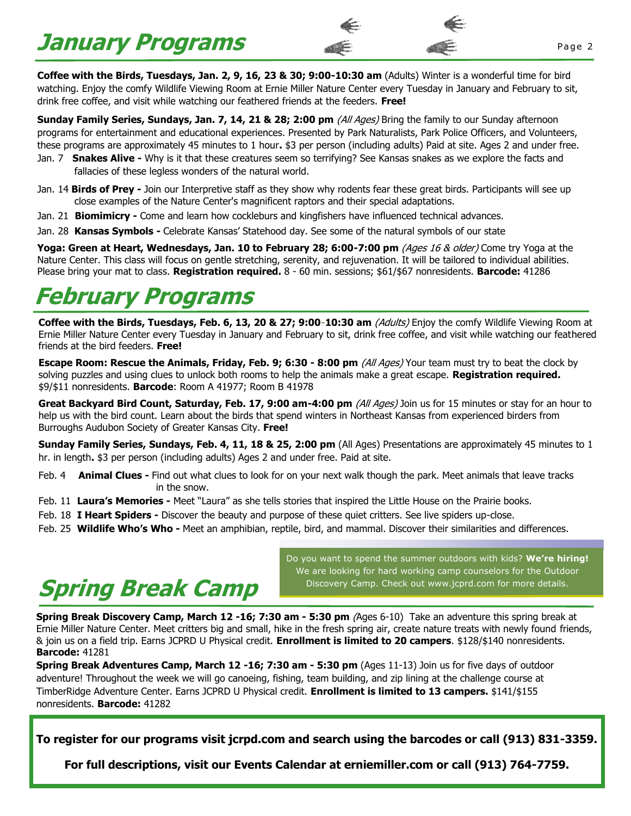# **January Programs** Programs **Programs**

**Coffee with the Birds, Tuesdays, Jan. 2, 9, 16, 23 & 30; 9:00-10:30 am** (Adults) Winter is a wonderful time for bird watching. Enjoy the comfy Wildlife Viewing Room at Ernie Miller Nature Center every Tuesday in January and February to sit, drink free coffee, and visit while watching our feathered friends at the feeders. **Free!**

**Sunday Family Series, Sundays, Jan. 7, 14, 21 & 28; 2:00 pm (All Ages) Bring the family to our Sunday afternoon** programs for entertainment and educational experiences. Presented by Park Naturalists, Park Police Officers, and Volunteers, these programs are approximately 45 minutes to 1 hour**.** \$3 per person (including adults) Paid at site. Ages 2 and under free.

- Jan. 7 **Snakes Alive -** Why is it that these creatures seem so terrifying? See Kansas snakes as we explore the facts and fallacies of these legless wonders of the natural world.
- Jan. 14 **Birds of Prey -** Join our Interpretive staff as they show why rodents fear these great birds. Participants will see up close examples of the Nature Center's magnificent raptors and their special adaptations.
- Jan. 21 **Biomimicry -** Come and learn how cockleburs and kingfishers have influenced technical advances.
- Jan. 28 **Kansas Symbols -** Celebrate Kansas' Statehood day. See some of the natural symbols of our state

**Yoga: Green at Heart, Wednesdays, Jan. 10 to February 28; 6:00-7:00 pm** (Ages 16 & older) Come try Yoga at the Nature Center. This class will focus on gentle stretching, serenity, and rejuvenation. It will be tailored to individual abilities. Please bring your mat to class. **Registration required.** 8 - 60 min. sessions; \$61/\$67 nonresidents. **Barcode:** 41286

# **February Programs**

Coffee with the Birds, Tuesdays, Feb. 6, 13, 20 & 27; 9:00-10:30 am (Adults) Enjoy the comfy Wildlife Viewing Room at Ernie Miller Nature Center every Tuesday in January and February to sit, drink free coffee, and visit while watching our feathered friends at the bird feeders. **Free!** 

**Escape Room: Rescue the Animals, Friday, Feb. 9; 6:30 - 8:00 pm (All Ages) Your team must try to beat the clock by** solving puzzles and using clues to unlock both rooms to help the animals make a great escape. **Registration required.**  \$9/\$11 nonresidents. **Barcode**: Room A 41977; Room B 41978

**Great Backyard Bird Count, Saturday, Feb. 17, 9:00 am-4:00 pm (All Ages)** Join us for 15 minutes or stay for an hour to help us with the bird count. Learn about the birds that spend winters in Northeast Kansas from experienced birders from Burroughs Audubon Society of Greater Kansas City. **Free!**

**Sunday Family Series, Sundays, Feb. 4, 11, 18 & 25, 2:00 pm** (All Ages) Presentations are approximately 45 minutes to 1 hr. in length**.** \$3 per person (including adults) Ages 2 and under free. Paid at site.

Feb. 4 **Animal Clues -** Find out what clues to look for on your next walk though the park. Meet animals that leave tracks in the snow.

- Feb. 11 **Laura's Memories -** Meet "Laura" as she tells stories that inspired the Little House on the Prairie books.
- Feb. 18 **I Heart Spiders -** Discover the beauty and purpose of these quiet critters. See live spiders up-close.

Feb. 25 **Wildlife Who's Who -** Meet an amphibian, reptile, bird, and mammal. Discover their similarities and differences.



Do you want to spend the summer outdoors with kids? **We're hiring!** We are looking for hard working camp counselors for the Outdoor Discovery Camp. Check out www.jcprd.com for more details.

**Spring Break Discovery Camp, March 12 -16; 7:30 am - 5:30 pm** (Ages 6-10) Take an adventure this spring break at Ernie Miller Nature Center. Meet critters big and small, hike in the fresh spring air, create nature treats with newly found friends, & join us on a field trip. Earns JCPRD U Physical credit. **Enrollment is limited to 20 campers**. \$128/\$140 nonresidents. **Barcode:** 41281

**Spring Break Adventures Camp, March 12 -16; 7:30 am - 5:30 pm (Ages 11-13) Join us for five days of outdoor** adventure! Throughout the week we will go canoeing, fishing, team building, and zip lining at the challenge course at TimberRidge Adventure Center. Earns JCPRD U Physical credit. **Enrollment is limited to 13 campers.** \$141/\$155 nonresidents. **Barcode:** 41282

**To register for our programs visit jcrpd.com and search using the barcodes or call (913) 831-3359.**

**For full descriptions, visit our Events Calendar at erniemiller.com or call (913) 764-7759.**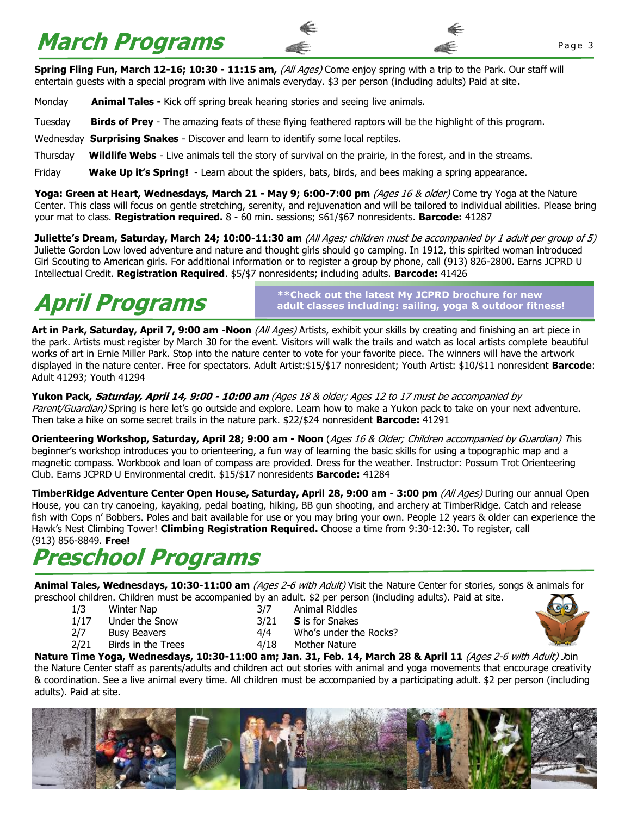# **March Programs**

**Spring Fling Fun, March 12-16; 10:30 - 11:15 am, (All Ages) Come enjoy spring with a trip to the Park. Our staff will** entertain guests with a special program with live animals everyday. \$3 per person (including adults) Paid at site**.**

Monday **Animal Tales -** Kick off spring break hearing stories and seeing live animals.

Tuesday **Birds of Prey** - The amazing feats of these flying feathered raptors will be the highlight of this program.

Wednesday **Surprising Snakes** - Discover and learn to identify some local reptiles.

Thursday **Wildlife Webs** - Live animals tell the story of survival on the prairie, in the forest, and in the streams.

Friday **Wake Up it's Spring!** - Learn about the spiders, bats, birds, and bees making a spring appearance.

**Yoga: Green at Heart, Wednesdays, March 21 - May 9; 6:00-7:00 pm (Ages 16 & older) Come try Yoga at the Nature** Center. This class will focus on gentle stretching, serenity, and rejuvenation and will be tailored to individual abilities. Please bring your mat to class. **Registration required.** 8 - 60 min. sessions; \$61/\$67 nonresidents. **Barcode:** 41287

**Juliette's Dream, Saturday, March 24; 10:00-11:30 am** (All Ages; children must be accompanied by 1 adult per group of 5) Juliette Gordon Low loved adventure and nature and thought girls should go camping. In 1912, this spirited woman introduced Girl Scouting to American girls. For additional information or to register a group by phone, call (913) 826-2800. Earns JCPRD U Intellectual Credit. **Registration Required**. \$5/\$7 nonresidents; including adults. **Barcode:** 41426

**April Programs**

**\*\*Check out the latest My JCPRD brochure for new adult classes including: sailing, yoga & outdoor fitness!**

**Art in Park, Saturday, April 7, 9:00 am -Noon** (All Ages) Artists, exhibit your skills by creating and finishing an art piece in the park. Artists must register by March 30 for the event. Visitors will walk the trails and watch as local artists complete beautiful works of art in Ernie Miller Park. Stop into the nature center to vote for your favorite piece. The winners will have the artwork displayed in the nature center. Free for spectators. Adult Artist:\$15/\$17 nonresident; Youth Artist: \$10/\$11 nonresident **Barcode**: Adult 41293; Youth 41294

**Yukon Pack, Saturday, April 14, 9:00 - 10:00 am** (Ages 18 & older; Ages 12 to 17 must be accompanied by Parent/Guardian) Spring is here let's go outside and explore. Learn how to make a Yukon pack to take on your next adventure. Then take a hike on some secret trails in the nature park. \$22/\$24 nonresident **Barcode:** 41291

**Orienteering Workshop, Saturday, April 28; 9:00 am - Noon** (Ages 16 & Older; Children accompanied by Guardian) This beginner's workshop introduces you to orienteering, a fun way of learning the basic skills for using a topographic map and a magnetic compass. Workbook and loan of compass are provided. Dress for the weather. Instructor: Possum Trot Orienteering Club. Earns JCPRD U Environmental credit. \$15/\$17 nonresidents **Barcode:** 41284

**TimberRidge Adventure Center Open House, Saturday, April 28, 9:00 am - 3:00 pm** (All Ages) During our annual Open House, you can try canoeing, kayaking, pedal boating, hiking, BB gun shooting, and archery at TimberRidge. Catch and release fish with Cops n' Bobbers. Poles and bait available for use or you may bring your own. People 12 years & older can experience the Hawk's Nest Climbing Tower! **Climbing Registration Required.** Choose a time from 9:30-12:30. To register, call (913) 856-8849. **Free!**

# **Preschool Programs**

**Animal Tales, Wednesdays, 10:30-11:00 am** (Ages 2-6 with Adult) Visit the Nature Center for stories, songs & animals for preschool children. Children must be accompanied by an adult. \$2 per person (including adults). Paid at site.

- 1/3 Winter Nap 3/7 Animal Riddles
- 1/17 Under the Snow 3/21 **S** is for Snakes
- 
- 
- 
- 2/7 Busy Beavers 2/7 Busy Beavers 2/7 Busy Beavers
- 2/21 Birds in the Trees 4/18 Mother Nature

**Nature Time Yoga, Wednesdays, 10:30-11:00 am; Jan. 31, Feb. 14, March 28 & April 11 (Ages 2-6 with Adult) Join** the Nature Center staff as parents/adults and children act out stories with animal and yoga movements that encourage creativity & coordination. See a live animal every time. All children must be accompanied by a participating adult. \$2 per person (including adults). Paid at site.